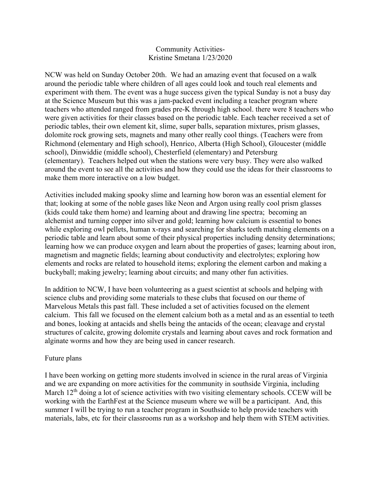## Community Activities-Kristine Smetana 1/23/2020

NCW was held on Sunday October 20th. We had an amazing event that focused on a walk around the periodic table where children of all ages could look and touch real elements and experiment with them. The event was a huge success given the typical Sunday is not a busy day at the Science Museum but this was a jam-packed event including a teacher program where teachers who attended ranged from grades pre-K through high school. there were 8 teachers who were given activities for their classes based on the periodic table. Each teacher received a set of periodic tables, their own element kit, slime, super balls, separation mixtures, prism glasses, dolomite rock growing sets, magnets and many other really cool things. (Teachers were from Richmond (elementary and High school), Henrico, Alberta (High School), Gloucester (middle school), Dinwiddie (middle school), Chesterfield (elementary) and Petersburg (elementary). Teachers helped out when the stations were very busy. They were also walked around the event to see all the activities and how they could use the ideas for their classrooms to make them more interactive on a low budget.

Activities included making spooky slime and learning how boron was an essential element for that; looking at some of the noble gases like Neon and Argon using really cool prism glasses (kids could take them home) and learning about and drawing line spectra; becoming an alchemist and turning copper into silver and gold; learning how calcium is essential to bones while exploring owl pellets, human x-rays and searching for sharks teeth matching elements on a periodic table and learn about some of their physical properties including density determinations; learning how we can produce oxygen and learn about the properties of gases; learning about iron, magnetism and magnetic fields; learning about conductivity and electrolytes; exploring how elements and rocks are related to household items; exploring the element carbon and making a buckyball; making jewelry; learning about circuits; and many other fun activities.

In addition to NCW, I have been volunteering as a guest scientist at schools and helping with science clubs and providing some materials to these clubs that focused on our theme of Marvelous Metals this past fall. These included a set of activities focused on the element calcium. This fall we focused on the element calcium both as a metal and as an essential to teeth and bones, looking at antacids and shells being the antacids of the ocean; cleavage and crystal structures of calcite, growing dolomite crystals and learning about caves and rock formation and alginate worms and how they are being used in cancer research.

## Future plans

I have been working on getting more students involved in science in the rural areas of Virginia and we are expanding on more activities for the community in southside Virginia, including March  $12<sup>th</sup>$  doing a lot of science activities with two visiting elementary schools. CCEW will be working with the EarthFest at the Science museum where we will be a participant. And, this summer I will be trying to run a teacher program in Southside to help provide teachers with materials, labs, etc for their classrooms run as a workshop and help them with STEM activities.